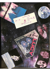